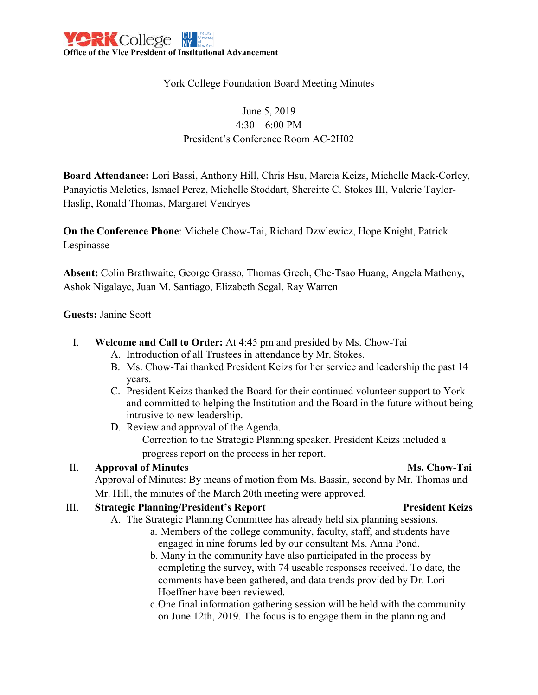

## York College Foundation Board Meeting Minutes

# June 5, 2019 4:30 – 6:00 PM President's Conference Room AC-2H02

**Board Attendance:** Lori Bassi, Anthony Hill, Chris Hsu, Marcia Keizs, Michelle Mack-Corley, Panayiotis Meleties, Ismael Perez, Michelle Stoddart, Shereitte C. Stokes III, Valerie Taylor-Haslip, Ronald Thomas, Margaret Vendryes

**On the Conference Phone**: Michele Chow-Tai, Richard Dzwlewicz, Hope Knight, Patrick Lespinasse

**Absent:** Colin Brathwaite, George Grasso, Thomas Grech, Che-Tsao Huang, Angela Matheny, Ashok Nigalaye, Juan M. Santiago, Elizabeth Segal, Ray Warren

### **Guests:** Janine Scott

- I. **Welcome and Call to Order:** At 4:45 pm and presided by Ms. Chow-Tai
	- A. Introduction of all Trustees in attendance by Mr. Stokes.
	- B. Ms. Chow-Tai thanked President Keizs for her service and leadership the past 14 years.
	- C. President Keizs thanked the Board for their continued volunteer support to York and committed to helping the Institution and the Board in the future without being intrusive to new leadership.
	- D. Review and approval of the Agenda.

Correction to the Strategic Planning speaker. President Keizs included a progress report on the process in her report.

### II. **Approval of Minutes Ms. Chow-Tai**

Approval of Minutes: By means of motion from Ms. Bassin, second by Mr. Thomas and Mr. Hill, the minutes of the March 20th meeting were approved.

### III. **Strategic Planning/President's Report President Keizs**

- A. The Strategic Planning Committee has already held six planning sessions.
	- a. Members of the college community, faculty, staff, and students have engaged in nine forums led by our consultant Ms. Anna Pond.
		- b. Many in the community have also participated in the process by completing the survey, with 74 useable responses received. To date, the comments have been gathered, and data trends provided by Dr. Lori Hoeffner have been reviewed.
		- c.One final information gathering session will be held with the community on June 12th, 2019. The focus is to engage them in the planning and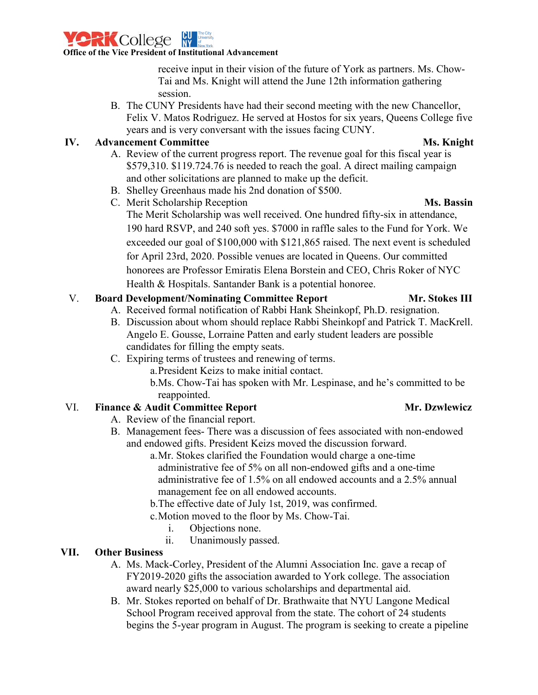

receive input in their vision of the future of York as partners. Ms. Chow-Tai and Ms. Knight will attend the June 12th information gathering session.

B. The CUNY Presidents have had their second meeting with the new Chancellor, Felix V. Matos Rodriguez. He served at Hostos for six years, Queens College five years and is very conversant with the issues facing CUNY.

## **IV. Advancement Committee Ms. Knight**

- A. Review of the current progress report. The revenue goal for this fiscal year is \$579,310. \$119.724.76 is needed to reach the goal. A direct mailing campaign and other solicitations are planned to make up the deficit.
- B. Shelley Greenhaus made his 2nd donation of \$500.
- C. Merit Scholarship Reception **Ms. Bassin** The Merit Scholarship was well received. One hundred fifty-six in attendance, 190 hard RSVP, and 240 soft yes. \$7000 in raffle sales to the Fund for York. We exceeded our goal of \$100,000 with \$121,865 raised. The next event is scheduled for April 23rd, 2020. Possible venues are located in Queens. Our committed honorees are Professor Emiratis Elena Borstein and CEO, Chris Roker of NYC Health & Hospitals. Santander Bank is a potential honoree.

## V. **Board Development/Nominating Committee Report Mr. Stokes III**

# A. Received formal notification of Rabbi Hank Sheinkopf, Ph.D. resignation.

- B. Discussion about whom should replace Rabbi Sheinkopf and Patrick T. MacKrell. Angelo E. Gousse, Lorraine Patten and early student leaders are possible candidates for filling the empty seats.
- C. Expiring terms of trustees and renewing of terms.
	- a.President Keizs to make initial contact.
		- b.Ms. Chow-Tai has spoken with Mr. Lespinase, and he's committed to be reappointed.

## VI. **Finance & Audit Committee Report Mr. Dzwlewicz**

- A. Review of the financial report.
- B. Management fees- There was a discussion of fees associated with non-endowed and endowed gifts. President Keizs moved the discussion forward.
	- a.Mr. Stokes clarified the Foundation would charge a one-time administrative fee of 5% on all non-endowed gifts and a one-time administrative fee of 1.5% on all endowed accounts and a 2.5% annual management fee on all endowed accounts.
	- b.The effective date of July 1st, 2019, was confirmed.
	- c.Motion moved to the floor by Ms. Chow-Tai.
		- i. Objections none.
		- ii. Unanimously passed.

## **VII. Other Business**

- A. Ms. Mack-Corley, President of the Alumni Association Inc. gave a recap of FY2019-2020 gifts the association awarded to York college. The association award nearly \$25,000 to various scholarships and departmental aid.
- B. Mr. Stokes reported on behalf of Dr. Brathwaite that NYU Langone Medical School Program received approval from the state. The cohort of 24 students begins the 5-year program in August. The program is seeking to create a pipeline